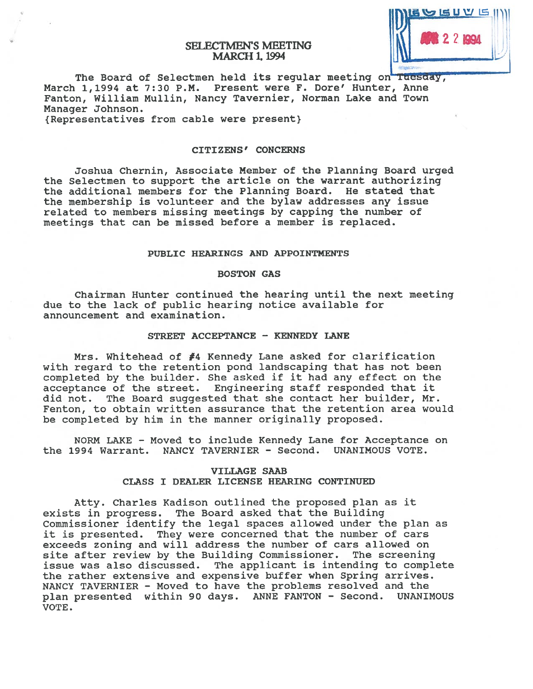## SELECTMEN'S MEETING **MARCH 1, 1994**



The Board of Selectmen held its regular meeting on Tuesday, March 1,1994 at 7:30 P.M. Present were F. Dore' Hunter, Anne Fanton, William Mullin, Nancy Tavernier, Norman Lake and Town Manager Johnson. {Representatives from cable were present}

#### CITIZENS' CONCERNS

Joshua Chernin, Associate Member of the Planning Board urged the Selectmen to suppor<sup>t</sup> the article on the warrant authorizing the additional members for the Planning Board. He stated that the membership is volunteer and the bylaw addresses any issue related to members missing meetings by capping the number of meetings that can be missed before <sup>a</sup> member is replaced.

## PUBLIC HEARINGS AND APPOINTMENTS

## BOSTON GAS

Chairman Hunter continued the hearing until the next meeting due to the lack of public hearing notice available for announcement and examination.

## STREET ACCEPTANCE - KENNEDY LANE

Mrs. Whitehead of #4 Kennedy Lane asked for clarification with regard to the retention pond landscaping that has not been completed by the builder. She asked if it had any effect on the acceptance of the street. Engineering staff responded that it did not. The Board suggested that she contact her builder, Mr. Fenton, to obtain written assurance that the retention area would be completed by him in the manner originally proposed.

NORM LAKE — Moved to include Kennedy Lane for Acceptance on the 1994 Warrant. NANCY TAVERNIER - Second. UNANIMOUS VOTE.

## VILLAGE SAAB CLASS I DEALER LICENSE HEARING CONTINUED

Atty. Charles Kadison outlined the proposed plan as it exists in progress. The Board asked that the Building Commissioner identify the legal spaces allowed under the plan as it is presented. They were concerned that the number of cars exceeds zoning and will address the number of cars allowed on site after review by the Building Commissioner. The screening issue was also discussed. The applicant is intending to complete the rather extensive and expensive buffer when Spring arrives. NANCY TAVERNIER - Moved to have the problems resolved and the <sup>p</sup>lan presented within 90 days. ANNE FANTON - Second. UNANIMOUS VOTE.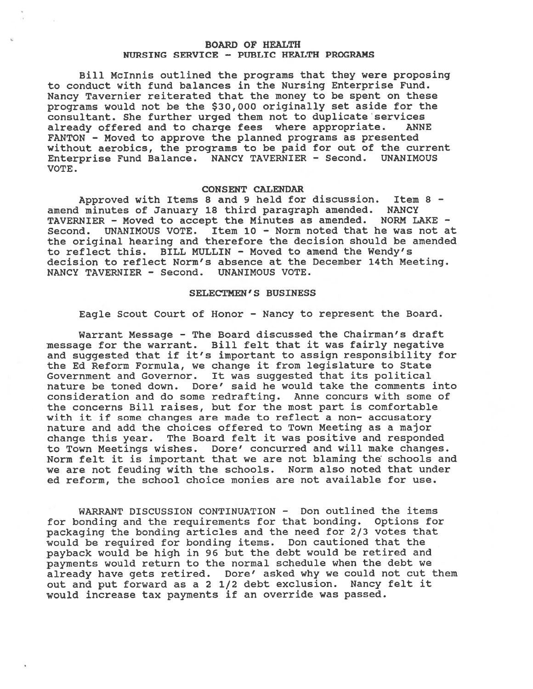## BOARD OF HEALTH NURSING SERVICE - PUBLIC HEALTH PROGRAMS

Bill Mclnnis outlined the programs that they were proposing to conduct with fund balances in the Nursing Enterprise Fund. Nancy Tavernier reiterated that the money to be spen<sup>t</sup> on these programs would not be the \$30,000 originally set aside for the consultant. She further urged them not to duplicate services already offered and to charge fees where appropriate. ANNE FANTON - Moved to approve the planned programs as presented without aerobics, the programs to be paid for out of the current Enterprise Fund Balance. NANCY TAVERNIER - Second. UNANIMOUS VOTE.

#### CONSENT CALENDAR

Approved with Items 8 and 9 held for discussion. Item <sup>B</sup> amend minutes of January 18 third paragraph amended. NANCY TAVERNIER - Moved to accep<sup>t</sup> the Minutes as amended. NORM LAKE - Second. UNANIMOUS VOTE. Item 10 - Norm noted that he was not at the original hearing and therefore the decision should be amended to reflect this. BILL MULLIN - Moved to amend the Wendy's decision to reflect Norm's absence at the December 14th Meeting. NANCY TAVERNIER - Second. UNANIMOUS VOTE.

## SELECTMEN'S BUSINESS

Eagle Scout Court of Honor — Nancy to represen<sup>t</sup> the Board.

Warrant Message - The Board discussed the Chairman's draft message for the warrant. Bill felt that it was fairly negative and suggested that if it's important to assign responsibility for the Ed Reform Formula, we change it from legislature to State Government and Governor. It was suggested that its political nature be toned down. Dore' said he would take the comments into consideration and do some redrafting. Anne concurs with some of the concerns Bill raises, but for the most par<sup>t</sup> is comfortable with it if some changes are made to reflect a non- accusatory nature and add the choices offered to Town Meeting as <sup>a</sup> major change this year. The Board felt it was positive and responded to Town Meetings wishes. Dore' concurred and will make changes. Norm felt it is important that we are not blaming the schools and we are not feuding with the schools. Norm also noted that under ed reform, the school choice monies are not available for use.

WARRANT DISCUSSION CONTINUATION - Don outlined the items for bonding and the requirements for that bonding. Options for packaging the bonding articles and the need for 2/3 votes that would be required for bonding items. Don cautioned that the payback would be high in <sup>96</sup> but the debt would be retired and payments would return to the normal schedule when the debt we already have gets retired. Dore' asked why we could not cut them out and pu<sup>t</sup> forward as <sup>a</sup> 2 1/2 debt exclusion. Nancy felt it would increase tax payments if an override was passed.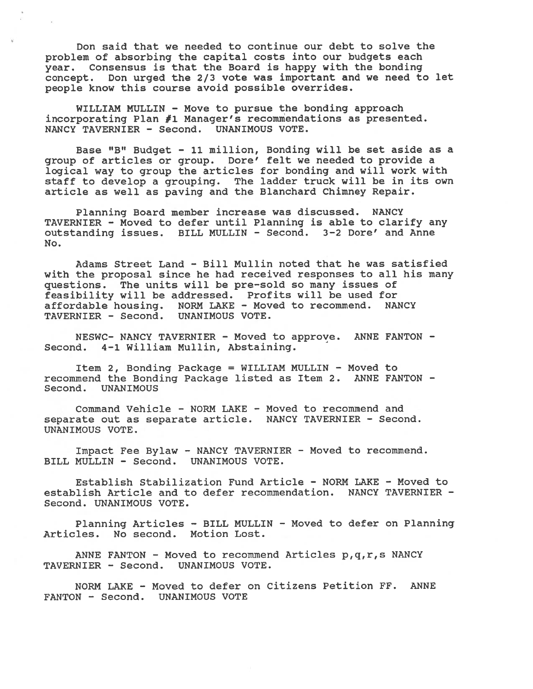Don said that we needed to continue our debt to solve the problem of absorbing the capital costs into our budgets each year. Consensus is that the Board is happy with the bonding concept. Don urge<sup>d</sup> the 2/3 vote was important and we need to let people know this course avoid possible overrides.

WILLIAM MULLIN - Move to pursue the bonding approach incorporating Plan #1 Manager's recommendations as presented. NANCY TAVERNIER - Second. UNANIMOUS VOTE.

Base "B" Budget — 11 million, Bonding will be set aside as <sup>a</sup> group of articles or group. Dore' felt we needed to provide <sup>a</sup> logical way to group the articles for bonding and will work with staff to develop <sup>a</sup> grouping. The ladder truck will be in its own article as well as paving and the Blanchard Chimney Repair.

Planning Board member increase was discussed. NANCY TAVERNIER - Moved to defer until Planning is able to clarify any outstanding issues. BILL MULLIN - Second. 3-2 Dore' and Anne No.

Adams Street Land - Bill Mullin noted that he was satisfied with the proposal since he had received responses to all his many questions. The units will be pre—sold so many issues of feasibility will be addressed. Profits will be used for affordable housing. NORM LAKE - Moved to recommend. NANCY TAVERNIER - Second. UNANIMOUS VOTE.

NESWC- NANCY TAVERNIER - Moved to approve. ANNE FANTON - Second. 4-1 William Mullin, Abstaining.

Item 2, Bonding Package <sup>=</sup> WILLIAM MULLIN - Moved to recommend the Bonding Package listed as Item 2. ANNE FANTON - **UNANIMOUS** 

Command Vehicle - NORM LAKE - Moved to recommend and separate out as separate article. NANCY TAVERNIER - Second. UNANIMOUS VOTE.

Impact Fee Bylaw - NANCY TAVERNIER - Moved to recommend. BILL MULLIN - Second. UNANIMOUS VOTE.

Establish Stabilization Fund Article - NORM LAKE - Moved to establish Article and to defer recommendation. NANCY TAVERNIER - Second. UNANIMOUS VOTE.

Planning Articles — BILL MULLIN - Moved to defer on Planning Articles. No second. Motion Lost.

ANNE FANTON - Moved to recommend Articles p,q,r,s NANCY TAVERNIER - Second. UNANIMOUS VOTE.

NORM LAKE - Moved to defer on Citizens Petition FF. ANNE FANTON - Second. UNANIMOUS VOTE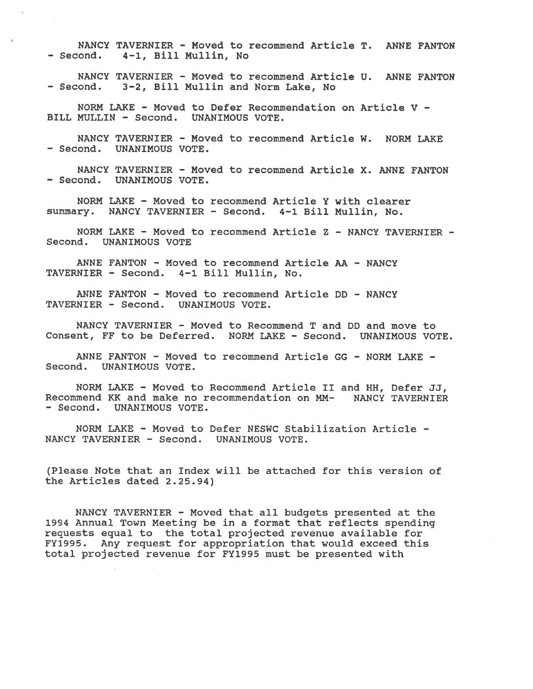NANCY TAVERNIER - Moved to recommend Article T. ANNE FANTON — Second. 4—1, Bill Mullin, No

NANCY TAVERNIER - Moved to recommend Article U. ANNE FANTON — Second. 3-2, Bill Mullin and Norm Lake, No

NORM LAKE - Moved to Defer Recommendation on Article V -BILL MULLIN - Second. UNANIMOUS VOTE.

NANCY TAVERNIER - Moved to recommend Article W. NORM LAKE - Second. UNANIMOUS VOTE.

NANCY TAVERNIER - Moved to recommend Article X. ANNE FANTON - Second. UNANIMOUS VOTE.

NORM LAKE - Moved to recommend Article Y with clearer summary. NANCY TAVERNIER - Second. 4-1 Bill Mullin, No.

NORM LAKE - Moved to recommend Article Z — NANCY TAVERNIER - Second. UNANIMOUS VOTE

ANNE FANTON - Moved to recommend Article AA - NANCY TAVERNIER - Second. 4-1 Bill Mullin, No.

ANNE FANTON - Moved to recommend Article DD - NANCY TAVERNIER - Second. UNANIMOUS VOTE.

NANCY TAVERNIER - Moved to Recommend T and DD and move to Consent, FF to be Deferred. NORM LAKE - Second. UNANIMOUS VOTE.

ANNE FANTON - Moved to recommend Article GG - NORM LAKE - Second. UNANIMOUS VOTE.

NORM LAKE - Moved to Recommend Article II and HH, Defer JJ, Recommend KK and make no recommendation on MN- NANCY TAVERNIER - Second. UNANIMOUS VOTE.

NORM LAKE - Moved to Defer NESWC Stabilization Article - NANCY TAVERNIER - Second. UNANIMOUS VOTE.

(Please Note that an Index will be attached for this version of the Articles dated 2.25.94)

NANCY TAVERNIER - Moved that all budgets presented at the 1994 Annual Town Meeting be in <sup>a</sup> format that reflects spending requests equal to the total projected revenue available for FY1995. Any reques<sup>t</sup> for appropriation that would exceed this total projected revenue for FY1995 must be presented with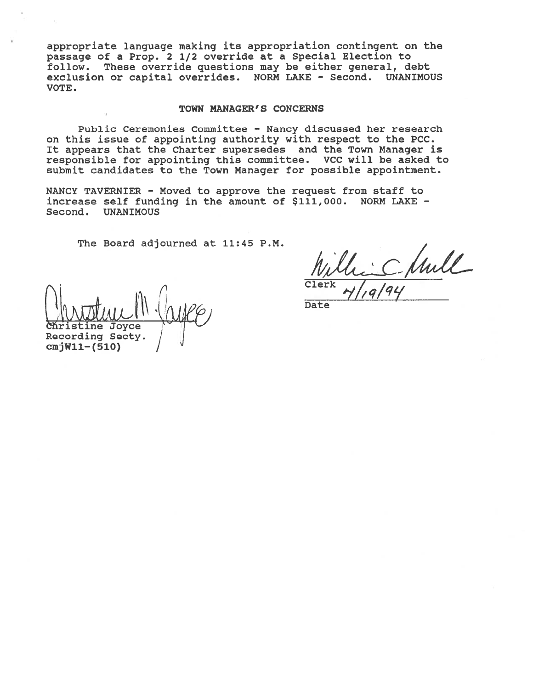appropriate language making its appropriation contingent on the passage of <sup>a</sup> Prop. 2 1/2 override at <sup>a</sup> Special Election to follow. These override questions may be either general, debt exclusion or capital overrides. NORM LAKE — Second. UNANIMOUS VOTE.

#### TOWN MANAGER'S CONCERNS

Public Ceremonies Committee — Nancy discussed her research on this issue of appointing authority with respec<sup>t</sup> to the PCC. It appears that the Charter supersedes and the Town Manager is responsible for appointing this committee. VCC will be asked to submit candidates to the Town Manager for possible appointment.

NANCY TAVERNIER - Moved to approve the reques<sup>t</sup> from staff to increase self funding in the amount of \$111,000. NORM LAKE — Second. UNANIMOUS

The Board adjourned at 11:45 P.M

 $\bigcup_{\text{Christine Joyce}} \bigwedge_{\text{Type}}$ Recording Secty.

cmjWll—(510)

Clerk Ville Chule  $7/19/94$ 

Date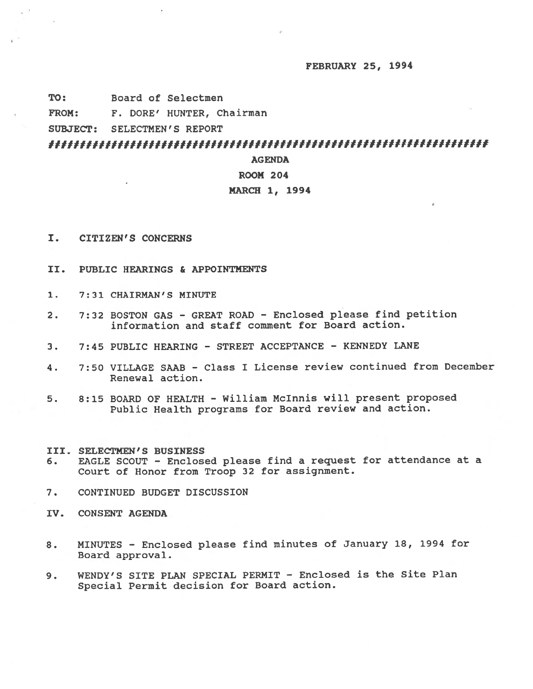#### FEBRUARY 25, 1994

TO: Board of Selectmen

FROM: F. DORE' HUNTER, Chairman

SUBJECT: SELECTMEN'S REPORT

**AGENDA** 

## ROOM 204

## MARCH 1, 1994

- I. CITIZEN'S CONCERNS
- II. PUBLIC HEARINGS & APPOINTMENTS
- 1. 7:31 CHAIRMAN'S MINUTE
- 2. 7:32 BOSTON GAS GREAT ROAD Enclosed please find petition information and staff comment for Board action.
- 3. 7:45 PUBLIC HEARING STREET ACCEPTANCE KENNEDY LANE
- 4. 7:50 VILLAGE SAAB Class I License review continued from December Renewal action.
- 5. 8:15 BOARD OF HEALTH William Mclnnis will presen<sup>t</sup> proposed Public Health programs for Board review and action.
- III. SELECTMEN'S BUSINESS
- 6. EAGLE SCOUT Enclosed <sup>p</sup>lease find <sup>a</sup> reques<sup>t</sup> for attendance at <sup>a</sup> Court of Honor from Troop 32 for assignment.
- 7. CONTINUED BUDGET DISCUSSION
- IV. CONSENT AGENDA
- 8. MINUTES Enclosed <sup>p</sup>lease find minutes of January 18, 1994 for Board approval.
- 9. WENDY'S SITE PLAN SPECIAL PERMIT Enclosed is the Site Plan Special Permit decision for Board action.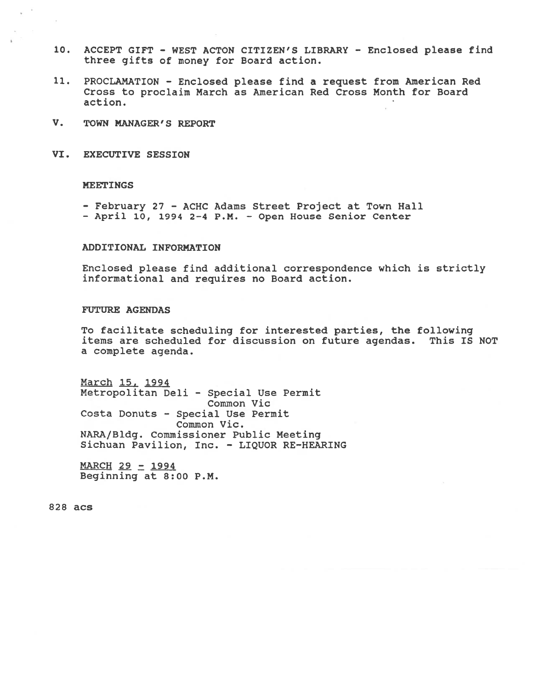- 10. ACCEPT GIFT WEST ACTON CITIZEN'S LIBRARY Enclosed <sup>p</sup>lease find three <sup>g</sup>ifts of money for Board action.
- 11. PROCLAMATION Enclosed <sup>p</sup>lease find <sup>a</sup> reques<sup>t</sup> from American Red Cross to proclaim March as American Red Cross Month for Board action.
- V. TOWN MANAGER'S REPORT
- VI. EXECUTIVE SESSION

#### MEETINGS

- February 27 ACHC Adams Street Project at Town Hall
- April 10, 1994 2-4 P.M. Open House Senior Center

## ADDITIONAL INFORMATION

Enclosed please find additional correspondence which is strictly informational and requires no Board action.

#### FUTURE AGENDAS

To facilitate scheduling for interested parties, the following items are scheduled for discussion on future agendas. This IS NOT <sup>a</sup> complete agenda.

March .1994 Metropolitan Deli - Special Use Permit Common Vic Costa Donuts - Special Use Permit Common Vic. NARA/Bldg. Commissioner Public Meeting Sichuan Pavilion, Inc. - LIQUOR RE-HEARING

 $MARCH$  29 - 1994 Beginning at 8:00 P.M.

82\$ acs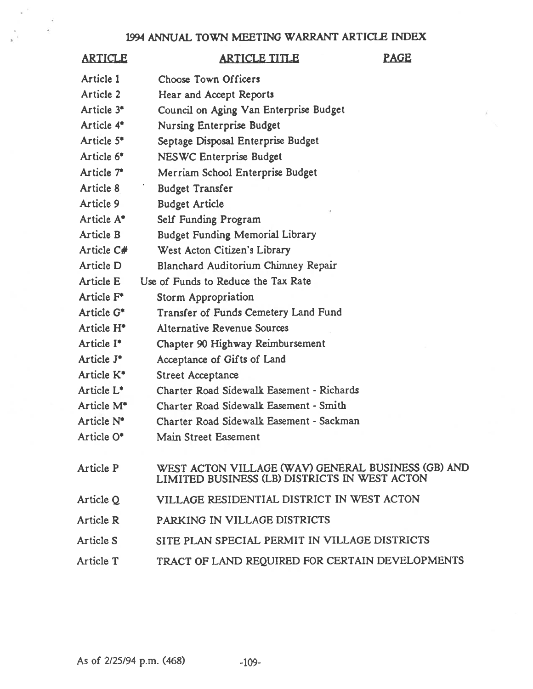## 1994 ANNUAL TOWN MEETING WARRANT ARTICLE INDEX

# ARTICLE ARTICLE TITLE PAGE Article 1 Choose Town Officers Article 2 Hear and Accept Reports Article 3<sup>\*</sup> Council on Aging Van Enterprise Budget Article 4' Nursing Enterprise Budget Article 5' Septage Disposal Enterprise Budget Article 6' NESWC Enterprise Budget Article 7<sup>\*</sup> Merriam School Enterprise Budget Article 8 Budget Transfer Article 9 Budget Article Article A\* Self Funding Program Article B Budget Funding Memorial Library Article C# West Acton Citizen's Library Article D Blanchard Auditorium Chimney Repair Article E Use of Funds to Reduce the Tax Rate Article F<sup>\*</sup> Storm Appropriation Article G' Transfer of Funds Cemetery Land Fund Article H' Alternative Revenue Sources Article I' Chapter 90 Highway Reimbursement Article  $J^*$  Acceptance of Gifts of Land Article K' Street Acceptance Article L' Charter Road Sidewalk Easement -Richards Article M' Charter Road Sidewalk Easement - Smith Article N' Charter Road Sidewalk Easement - Sackman Article 0' Main Street Easement Article P WEST ACTON VILLAGE (WAV) GENERAL BUSINESS (GB) AND LIMITED BUSINESS (LB) DISTRICTS IN WEST ACTON Article Q VILLAGE RESIDENTIAL DISTRICT IN WEST ACTON Article R PARKING IN VILLAGE DISTRICTS

- Article S SITE PLAN SPECIAL PERMIT IN VILLAGE DISTRICTS
- Article T TRACT Of LAND REQUIRED FOR CERTAIN DEVELOPMENTS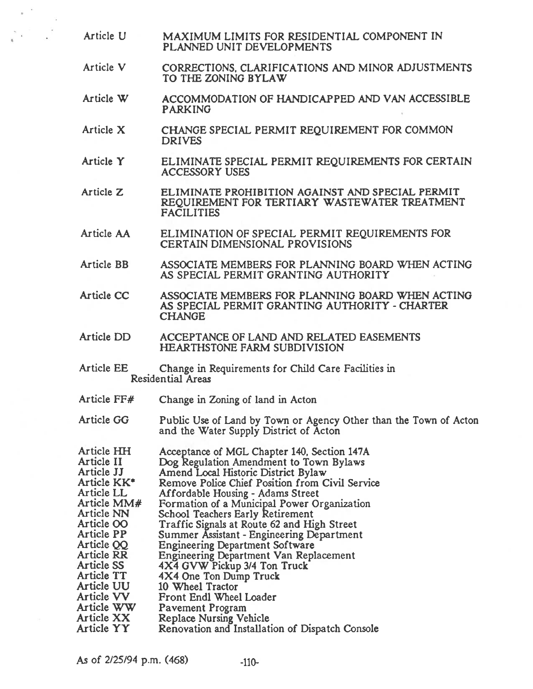- Article U MAXIMUM LIMITS FOR RESIDENTIAL COMPONENT IN PLANNED UNIT DEVELOPMENTS
- Article V CORRECTIONS, CLARIFICATIONS AND MINOR ADJUSTMENTS TO THE ZONING BYLAW
- Article W ACCOMMODATION OF HANDICAPPED AND VAN ACCESSIBLE PARKING
- Article X CHANGE SPECIAL PERMIT REQUIREMENT FOR COMMON DRIVES
- Article Y ELIMINATE SPECIAL PERMIT REQUIREMENTS FOR CERTAIN ACCESSORY USES
- Article Z ELIMINATE PROHIBITION AGAINST AND SPECIAL PERMIT REQUIREMENT FOR TERTIARY WASTEWATER TREATMENT FACILITIES
- Article AA ELIMINATION Of SPECIAL PERMIT REQUIREMENTS FOR CERTAIN DIMENSIONAL PROVISIONS
- Article BB ASSOCIATE MEMBERS FOR PLANNING BOARD WHEN ACTING AS SPECIAL PERMIT GRANTING AUTHORITY
- Article CC ASSOCIATE MEMBERS FOR PLANNING BOARD WHEN ACTING AS SPECIAL PERMIT GRANTING AUTHORITY - CHARTER CHANGE
- Article DD ACCEPTANCE OF LAND AND RELATED EASEMENTS HEARTHSTONE FARM SUBDIVISION
- Article EE Change in Requirements for Child Care Facilities in Residential Areas
- Article FF# Change in Zoning of land in Acton
- Article GO Public Use of Land by Town or Agency Other than the Town of Acton and the Water Supply District of Acton
- Article HH Acceptance of MGL Chapter 140, Section 147A<br>Article II Dog Regulation Amendment to Town Bylaws Article II Dog Regulation Amendment to Town Bylaws<br>Article JJ Amend Local Historic District Bylaw Article JJ Amend Local Historic District Bylaw<br>Article KK\* Remove Police Chief Position from C Remove Police Chief Position from Civil Service Article LL<br>Article MM# Formation of a Municipal Power Or Article MM# Formation of a Municipal Power Organization<br>Article NN School Teachers Early Retirement Article NN School Teachers Early Retirement<br>Article OO Traffic Signals at Route 62 and Hi Article OO Traffic Signals at Route 62 and High Street<br>Article PP Summer Assistant - Engineering Departmen Article PP Summer Assistant - Engineering Department<br>Article QQ Engineering Department Software Article QQ Engineering Department Software<br>Article RR Engineering Department Van Replacement Article SS 4X4 GVW Pickup 3/4 Ton Truck Article TI 4X4 One Ton Dump Truck Article UU 10 Wheel Tractor Article VV Front Endi Wheel Loader Article WW Pavement Program<br>Article XX Replace Nursing Ve

Article XX Replace Nursing Vehicle<br>Article YY Renovation and Installati

Renovation and Installation of Dispatch Console